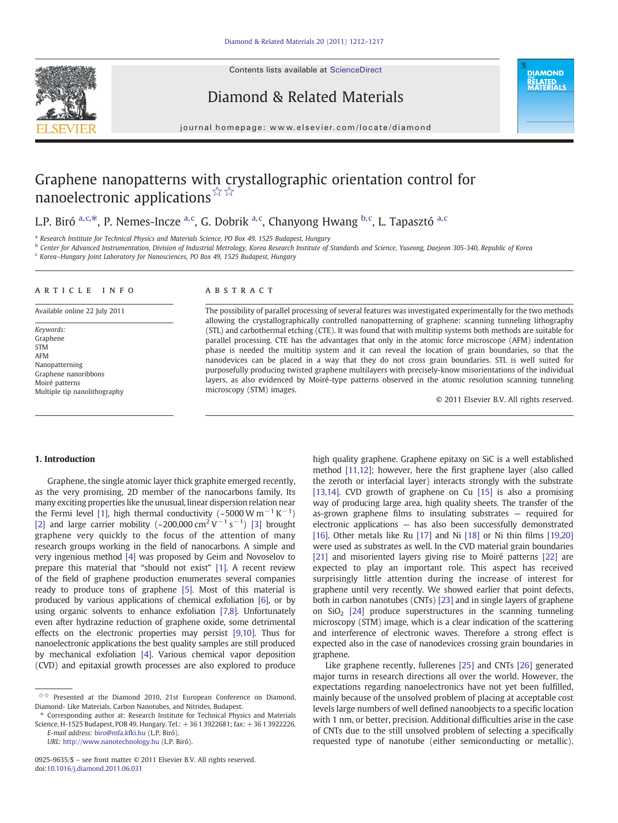Contents lists available at [ScienceDirect](http://www.sciencedirect.com/science/journal/09259635)



Diamond & Related Materials

**DIAMOND RELATED<br>MATERIALS** 

#### journal homepage: www.elsevier.com/locate/diamond

# Graphene nanopatterns with crystallographic orientation control for nanoelectronic applications☆☆

## L.P. Biró <sup>a, c,\*</sup>, P. Nemes-Incze <sup>a, c</sup>, G. Dobrik <sup>a, c</sup>, Chanyong Hwang <sup>b, c</sup>, L. Tapasztó <sup>a, c</sup>

<sup>a</sup> Research Institute for Technical Physics and Materials Science, PO Box 49, 1525 Budapest, Hungary

<sup>b</sup> Center for Advanced Instrumentation, Division of Industrial Metrology, Korea Research Institute of Standards and Science, Yuseong, Daejeon 305-340, Republic of Korea

<sup>c</sup> Korea–Hungary Joint Laboratory for Nanosciences, PO Box 49, 1525 Budapest, Hungary

#### article info abstract

Available online 22 July 2011

Keywords: Graphene STM AFM Nanopatterning Graphene nanoribbons Moiré patterns Multiple tip nanolithography

The possibility of parallel processing of several features was investigated experimentally for the two methods allowing the crystallographically controlled nanopatterning of graphene: scanning tunneling lithography (STL) and carbothermal etching (CTE). It was found that with multitip systems both methods are suitable for parallel processing. CTE has the advantages that only in the atomic force microscope (AFM) indentation phase is needed the multitip system and it can reveal the location of grain boundaries, so that the nanodevices can be placed in a way that they do not cross grain boundaries. STL is well suited for purposefully producing twisted graphene multilayers with precisely-know misorientations of the individual layers, as also evidenced by Moiré-type patterns observed in the atomic resolution scanning tunneling microscopy (STM) images.

© 2011 Elsevier B.V. All rights reserved.

### 1. Introduction

Graphene, the single atomic layer thick graphite emerged recently, as the very promising, 2D member of the nanocarbons family. Its many exciting properties like the unusual, linear dispersion relation near the Fermi level [\[1\],](#page-5-0) high thermal conductivity (~5000 W m<sup>-1</sup> K<sup>-1</sup>) [\[2\]](#page-5-0) and large carrier mobility (~200,000 cm<sup>2</sup> V<sup>-1</sup> s<sup>-1</sup>) [\[3\]](#page-5-0) brought graphene very quickly to the focus of the attention of many research groups working in the field of nanocarbons. A simple and very ingenious method [\[4\]](#page-5-0) was proposed by Geim and Novoselov to prepare this material that "should not exist" [\[1\].](#page-5-0) A recent review of the field of graphene production enumerates several companies ready to produce tons of graphene [\[5\]](#page-5-0). Most of this material is produced by various applications of chemical exfoliation [\[6\],](#page-5-0) or by using organic solvents to enhance exfoliation [\[7,8\]](#page-5-0). Unfortunately even after hydrazine reduction of graphene oxide, some detrimental effects on the electronic properties may persist [\[9,10\]](#page-5-0). Thus for nanoelectronic applications the best quality samples are still produced by mechanical exfoliation [\[4\].](#page-5-0) Various chemical vapor deposition (CVD) and epitaxial growth processes are also explored to produce

URL: <http://www.nanotechnology.hu> (L.P. Biró).

high quality graphene. Graphene epitaxy on SiC is a well established method [\[11,12\]](#page-5-0); however, here the first graphene layer (also called the zeroth or interfacial layer) interacts strongly with the substrate [\[13,14\].](#page-5-0) CVD growth of graphene on Cu [\[15\]](#page-5-0) is also a promising way of producing large area, high quality sheets. The transfer of the as-grown graphene films to insulating substrates — required for electronic applications — has also been successfully demonstrated [\[16\]](#page-5-0). Other metals like Ru [\[17\]](#page-5-0) and Ni [\[18\]](#page-5-0) or Ni thin films [\[19,20\]](#page-5-0) were used as substrates as well. In the CVD material grain boundaries [\[21\]](#page-5-0) and misoriented layers giving rise to Moiré patterns [\[22\]](#page-5-0) are expected to play an important role. This aspect has received surprisingly little attention during the increase of interest for graphene until very recently. We showed earlier that point defects, both in carbon nanotubes (CNTs) [\[23\]](#page-5-0) and in single layers of graphene on  $SiO<sub>2</sub>$  [\[24\]](#page-5-0) produce superstructures in the scanning tunneling microscopy (STM) image, which is a clear indication of the scattering and interference of electronic waves. Therefore a strong effect is expected also in the case of nanodevices crossing grain boundaries in graphene.

Like graphene recently, fullerenes [\[25\]](#page-5-0) and CNTs [\[26\]](#page-5-0) generated major turns in research directions all over the world. However, the expectations regarding nanoelectronics have not yet been fulfilled, mainly because of the unsolved problem of placing at acceptable cost levels large numbers of well defined nanoobjects to a specific location with 1 nm, or better, precision. Additional difficulties arise in the case of CNTs due to the still unsolved problem of selecting a specifically requested type of nanotube (either semiconducting or metallic).

<sup>☆☆</sup> Presented at the Diamond 2010, 21st European Conference on Diamond, Diamond- Like Materials, Carbon Nanotubes, and Nitrides, Budapest.

<sup>⁎</sup> Corresponding author at: Research Institute for Technical Physics and Materials Science, H-1525 Budapest, POB 49, Hungary. Tel.: +36 1 3922681; fax: +36 1 3922226. E-mail address: [biro@mfa.kfki.hu](mailto:biro@mfa.kfki.hu) (L.P. Biró).

<sup>0925-9635/\$</sup> – see front matter © 2011 Elsevier B.V. All rights reserved. doi[:10.1016/j.diamond.2011.06.031](http://dx.doi.org/10.1016/j.diamond.2011.06.031)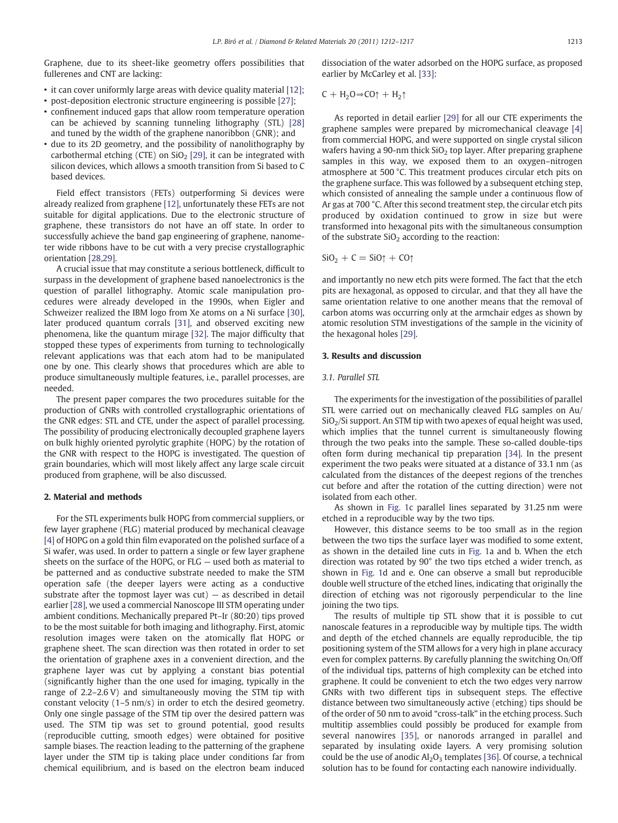Graphene, due to its sheet-like geometry offers possibilities that fullerenes and CNT are lacking:

- it can cover uniformly large areas with device quality material [\[12\];](#page-5-0)
- post-deposition electronic structure engineering is possible [\[27\];](#page-5-0)
- confinement induced gaps that allow room temperature operation can be achieved by scanning tunneling lithography (STL) [\[28\]](#page-5-0) and tuned by the width of the graphene nanoribbon (GNR); and
- due to its 2D geometry, and the possibility of nanolithography by carbothermal etching (CTE) on  $SiO<sub>2</sub>$  [\[29\]](#page-5-0), it can be integrated with silicon devices, which allows a smooth transition from Si based to C based devices.

Field effect transistors (FETs) outperforming Si devices were already realized from graphene [\[12\],](#page-5-0) unfortunately these FETs are not suitable for digital applications. Due to the electronic structure of graphene, these transistors do not have an off state. In order to successfully achieve the band gap engineering of graphene, nanometer wide ribbons have to be cut with a very precise crystallographic orientation [\[28,29\].](#page-5-0)

A crucial issue that may constitute a serious bottleneck, difficult to surpass in the development of graphene based nanoelectronics is the question of parallel lithography. Atomic scale manipulation procedures were already developed in the 1990s, when Eigler and Schweizer realized the IBM logo from Xe atoms on a Ni surface [\[30\],](#page-5-0) later produced quantum corrals [\[31\]](#page-5-0), and observed exciting new phenomena, like the quantum mirage [\[32\]](#page-5-0). The major difficulty that stopped these types of experiments from turning to technologically relevant applications was that each atom had to be manipulated one by one. This clearly shows that procedures which are able to produce simultaneously multiple features, i.e., parallel processes, are needed.

The present paper compares the two procedures suitable for the production of GNRs with controlled crystallographic orientations of the GNR edges: STL and CTE, under the aspect of parallel processing. The possibility of producing electronically decoupled graphene layers on bulk highly oriented pyrolytic graphite (HOPG) by the rotation of the GNR with respect to the HOPG is investigated. The question of grain boundaries, which will most likely affect any large scale circuit produced from graphene, will be also discussed.

#### 2. Material and methods

For the STL experiments bulk HOPG from commercial suppliers, or few layer graphene (FLG) material produced by mechanical cleavage [\[4\]](#page-5-0) of HOPG on a gold thin film evaporated on the polished surface of a Si wafer, was used. In order to pattern a single or few layer graphene sheets on the surface of the HOPG, or FLG — used both as material to be patterned and as conductive substrate needed to make the STM operation safe (the deeper layers were acting as a conductive substrate after the topmost layer was  $cut$ )  $-$  as described in detail earlier [\[28\]](#page-5-0), we used a commercial Nanoscope III STM operating under ambient conditions. Mechanically prepared Pt–Ir (80:20) tips proved to be the most suitable for both imaging and lithography. First, atomic resolution images were taken on the atomically flat HOPG or graphene sheet. The scan direction was then rotated in order to set the orientation of graphene axes in a convenient direction, and the graphene layer was cut by applying a constant bias potential (significantly higher than the one used for imaging, typically in the range of 2.2–2.6 V) and simultaneously moving the STM tip with constant velocity (1–5 nm/s) in order to etch the desired geometry. Only one single passage of the STM tip over the desired pattern was used. The STM tip was set to ground potential, good results (reproducible cutting, smooth edges) were obtained for positive sample biases. The reaction leading to the patterning of the graphene layer under the STM tip is taking place under conditions far from chemical equilibrium, and is based on the electron beam induced dissociation of the water adsorbed on the HOPG surface, as proposed earlier by McCarley et al. [\[33\]:](#page-5-0)

$$
C + H_2O \Rightarrow CO \uparrow + H_2 \uparrow
$$

As reported in detail earlier [\[29\]](#page-5-0) for all our CTE experiments the graphene samples were prepared by micromechanical cleavage [\[4\]](#page-5-0) from commercial HOPG, and were supported on single crystal silicon wafers having a 90-nm thick  $SiO<sub>2</sub>$  top layer. After preparing graphene samples in this way, we exposed them to an oxygen–nitrogen atmosphere at 500 °C. This treatment produces circular etch pits on the graphene surface. This was followed by a subsequent etching step, which consisted of annealing the sample under a continuous flow of Ar gas at 700 °C. After this second treatment step, the circular etch pits produced by oxidation continued to grow in size but were transformed into hexagonal pits with the simultaneous consumption of the substrate  $SiO<sub>2</sub>$  according to the reaction:

$$
SiO_2 + C = SiO\uparrow + CO\uparrow
$$

and importantly no new etch pits were formed. The fact that the etch pits are hexagonal, as opposed to circular, and that they all have the same orientation relative to one another means that the removal of carbon atoms was occurring only at the armchair edges as shown by atomic resolution STM investigations of the sample in the vicinity of the hexagonal holes [\[29\].](#page-5-0)

#### 3. Results and discussion

#### 3.1. Parallel STL

The experiments for the investigation of the possibilities of parallel STL were carried out on mechanically cleaved FLG samples on Au/ SiO2/Si support. An STM tip with two apexes of equal height was used, which implies that the tunnel current is simultaneously flowing through the two peaks into the sample. These so-called double-tips often form during mechanical tip preparation [\[34\]](#page-5-0). In the present experiment the two peaks were situated at a distance of 33.1 nm (as calculated from the distances of the deepest regions of the trenches cut before and after the rotation of the cutting direction) were not isolated from each other.

As shown in [Fig. 1c](#page-2-0) parallel lines separated by 31.25 nm were etched in a reproducible way by the two tips.

However, this distance seems to be too small as in the region between the two tips the surface layer was modified to some extent, as shown in the detailed line cuts in [Fig. 1](#page-2-0)a and b. When the etch direction was rotated by 90° the two tips etched a wider trench, as shown in [Fig. 1](#page-2-0)d and e. One can observe a small but reproducible double well structure of the etched lines, indicating that originally the direction of etching was not rigorously perpendicular to the line joining the two tips.

The results of multiple tip STL show that it is possible to cut nanoscale features in a reproducible way by multiple tips. The width and depth of the etched channels are equally reproducible, the tip positioning system of the STM allows for a very high in plane accuracy even for complex patterns. By carefully planning the switching On/Off of the individual tips, patterns of high complexity can be etched into graphene. It could be convenient to etch the two edges very narrow GNRs with two different tips in subsequent steps. The effective distance between two simultaneously active (etching) tips should be of the order of 50 nm to avoid "cross-talk" in the etching process. Such multitip assemblies could possibly be produced for example from several nanowires [\[35\]](#page-5-0), or nanorods arranged in parallel and separated by insulating oxide layers. A very promising solution could be the use of anodic  $Al_2O_3$  templates [\[36\]](#page-5-0). Of course, a technical solution has to be found for contacting each nanowire individually.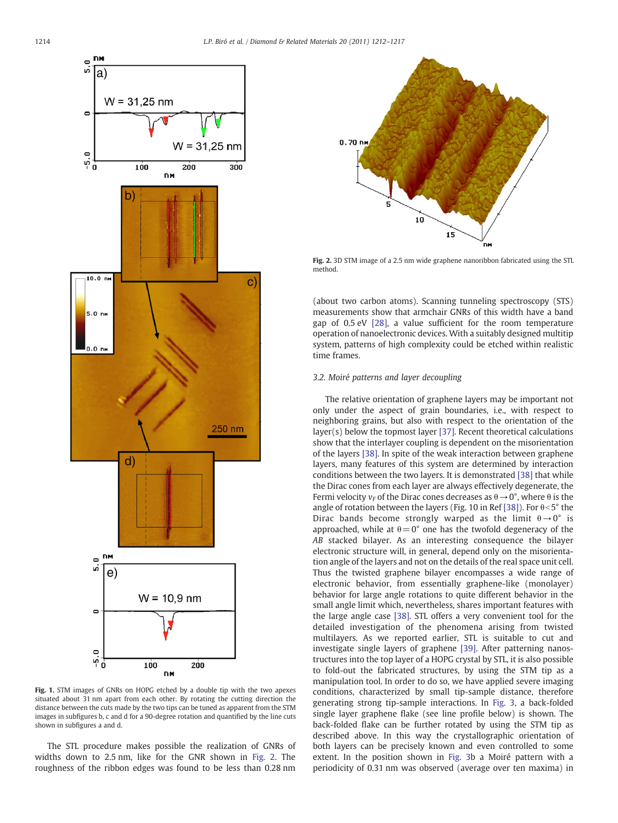<span id="page-2-0"></span>

Fig. 1. STM images of GNRs on HOPG etched by a double tip with the two apexes situated about 31 nm apart from each other. By rotating the cutting direction the distance between the cuts made by the two tips can be tuned as apparent from the STM images in subfigures b, c and d for a 90-degree rotation and quantified by the line cuts shown in subfigures a and d.

The STL procedure makes possible the realization of GNRs of widths down to 2.5 nm, like for the GNR shown in Fig. 2. The roughness of the ribbon edges was found to be less than 0.28 nm



Fig. 2. 3D STM image of a 2.5 nm wide graphene nanoribbon fabricated using the STL method.

(about two carbon atoms). Scanning tunneling spectroscopy (STS) measurements show that armchair GNRs of this width have a band gap of 0.5 eV [\[28\]](#page-5-0), a value sufficient for the room temperature operation of nanoelectronic devices. With a suitably designed multitip system, patterns of high complexity could be etched within realistic time frames.

#### 3.2. Moiré patterns and layer decoupling

The relative orientation of graphene layers may be important not only under the aspect of grain boundaries, i.e., with respect to neighboring grains, but also with respect to the orientation of the layer(s) below the topmost layer [\[37\]](#page-5-0). Recent theoretical calculations show that the interlayer coupling is dependent on the misorientation of the layers [\[38\].](#page-5-0) In spite of the weak interaction between graphene layers, many features of this system are determined by interaction conditions between the two layers. It is demonstrated [\[38\]](#page-5-0) that while the Dirac cones from each layer are always effectively degenerate, the Fermi velocity  $v_F$  of the Dirac cones decreases as  $\theta \rightarrow 0^{\circ}$ , where  $\theta$  is the angle of rotation between the layers (Fig. 10 in Ref [\[38\]](#page-5-0)). For  $\theta < 5^{\circ}$  the Dirac bands become strongly warped as the limit  $\theta \rightarrow 0^{\circ}$  is approached, while at  $\theta = 0^{\circ}$  one has the twofold degeneracy of the AB stacked bilayer. As an interesting consequence the bilayer electronic structure will, in general, depend only on the misorientation angle of the layers and not on the details of the real space unit cell. Thus the twisted graphene bilayer encompasses a wide range of electronic behavior, from essentially graphene-like (monolayer) behavior for large angle rotations to quite different behavior in the small angle limit which, nevertheless, shares important features with the large angle case [\[38\].](#page-5-0) STL offers a very convenient tool for the detailed investigation of the phenomena arising from twisted multilayers. As we reported earlier, STL is suitable to cut and investigate single layers of graphene [\[39\].](#page-5-0) After patterning nanostructures into the top layer of a HOPG crystal by STL, it is also possible to fold-out the fabricated structures, by using the STM tip as a manipulation tool. In order to do so, we have applied severe imaging conditions, characterized by small tip-sample distance, therefore generating strong tip-sample interactions. In [Fig. 3](#page-3-0), a back-folded single layer graphene flake (see line profile below) is shown. The back-folded flake can be further rotated by using the STM tip as described above. In this way the crystallographic orientation of both layers can be precisely known and even controlled to some extent. In the position shown in [Fig. 3b](#page-3-0) a Moiré pattern with a periodicity of 0.31 nm was observed (average over ten maxima) in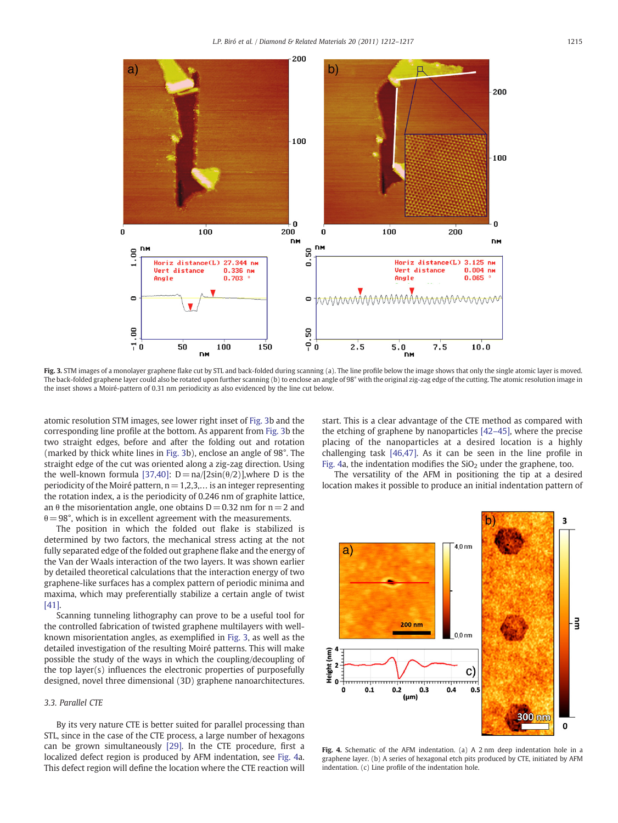<span id="page-3-0"></span>

Fig. 3. STM images of a monolayer graphene flake cut by STL and back-folded during scanning (a). The line profile below the image shows that only the single atomic layer is moved. The back-folded graphene layer could also be rotated upon further scanning (b) to enclose an angle of 98° with the original zig-zag edge of the cutting. The atomic resolution image in the inset shows a Moiré-pattern of 0.31 nm periodicity as also evidenced by the line cut below.

atomic resolution STM images, see lower right inset of Fig. 3b and the corresponding line profile at the bottom. As apparent from Fig. 3b the two straight edges, before and after the folding out and rotation (marked by thick white lines in Fig. 3b), enclose an angle of 98°. The straight edge of the cut was oriented along a zig-zag direction. Using the well-known formula [\[37,40\]:](#page-5-0)  $D = na/[2sin(\theta/2)]$ , where D is the periodicity of the Moiré pattern,  $n = 1,2,3,...$  is an integer representing the rotation index, a is the periodicity of 0.246 nm of graphite lattice, an  $\theta$  the misorientation angle, one obtains D = 0.32 nm for n = 2 and  $\theta = 98^\circ$ , which is in excellent agreement with the measurements.

The position in which the folded out flake is stabilized is determined by two factors, the mechanical stress acting at the not fully separated edge of the folded out graphene flake and the energy of the Van der Waals interaction of the two layers. It was shown earlier by detailed theoretical calculations that the interaction energy of two graphene-like surfaces has a complex pattern of periodic minima and maxima, which may preferentially stabilize a certain angle of twist [\[41\]](#page-5-0).

Scanning tunneling lithography can prove to be a useful tool for the controlled fabrication of twisted graphene multilayers with wellknown misorientation angles, as exemplified in Fig. 3, as well as the detailed investigation of the resulting Moiré patterns. This will make possible the study of the ways in which the coupling/decoupling of the top layer(s) influences the electronic properties of purposefully designed, novel three dimensional (3D) graphene nanoarchitectures.

#### 3.3. Parallel CTE

By its very nature CTE is better suited for parallel processing than STL, since in the case of the CTE process, a large number of hexagons can be grown simultaneously [\[29\]](#page-5-0). In the CTE procedure, first a localized defect region is produced by AFM indentation, see Fig. 4a. This defect region will define the location where the CTE reaction will start. This is a clear advantage of the CTE method as compared with the etching of graphene by nanoparticles [42–[45\],](#page-5-0) where the precise placing of the nanoparticles at a desired location is a highly challenging task [\[46,47\]](#page-5-0). As it can be seen in the line profile in Fig. 4a, the indentation modifies the  $SiO<sub>2</sub>$  under the graphene, too.

The versatility of the AFM in positioning the tip at a desired location makes it possible to produce an initial indentation pattern of



Fig. 4. Schematic of the AFM indentation. (a) A 2 nm deep indentation hole in a graphene layer. (b) A series of hexagonal etch pits produced by CTE, initiated by AFM indentation. (c) Line profile of the indentation hole.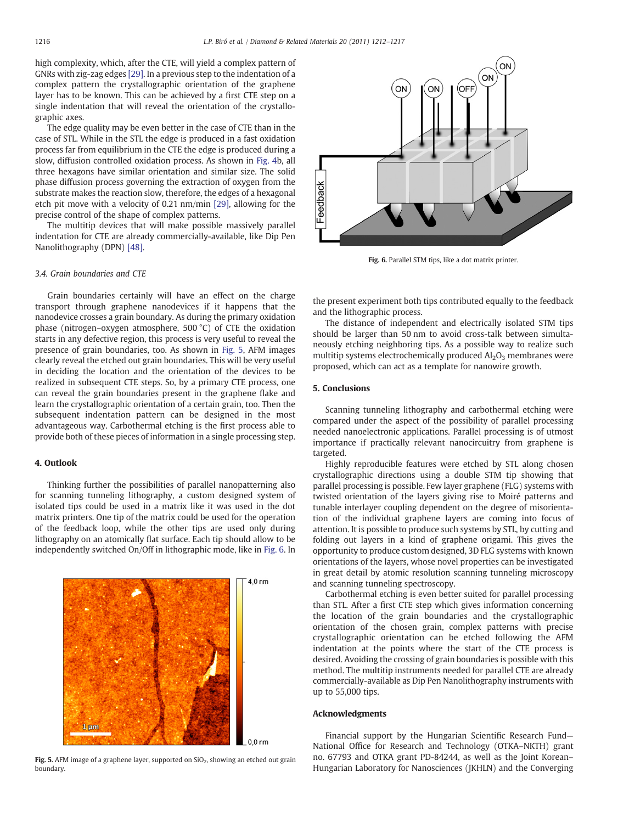high complexity, which, after the CTE, will yield a complex pattern of GNRs with zig-zag edges [\[29\]](#page-5-0). In a previous step to the indentation of a complex pattern the crystallographic orientation of the graphene layer has to be known. This can be achieved by a first CTE step on a single indentation that will reveal the orientation of the crystallographic axes.

The edge quality may be even better in the case of CTE than in the case of STL. While in the STL the edge is produced in a fast oxidation process far from equilibrium in the CTE the edge is produced during a slow, diffusion controlled oxidation process. As shown in [Fig. 4b](#page-3-0), all three hexagons have similar orientation and similar size. The solid phase diffusion process governing the extraction of oxygen from the substrate makes the reaction slow, therefore, the edges of a hexagonal etch pit move with a velocity of 0.21 nm/min [\[29\],](#page-5-0) allowing for the precise control of the shape of complex patterns.

The multitip devices that will make possible massively parallel indentation for CTE are already commercially-available, like Dip Pen Nanolithography (DPN) [\[48\].](#page-5-0)

#### 3.4. Grain boundaries and CTE

Grain boundaries certainly will have an effect on the charge transport through graphene nanodevices if it happens that the nanodevice crosses a grain boundary. As during the primary oxidation phase (nitrogen–oxygen atmosphere, 500 °C) of CTE the oxidation starts in any defective region, this process is very useful to reveal the presence of grain boundaries, too. As shown in Fig. 5, AFM images clearly reveal the etched out grain boundaries. This will be very useful in deciding the location and the orientation of the devices to be realized in subsequent CTE steps. So, by a primary CTE process, one can reveal the grain boundaries present in the graphene flake and learn the crystallographic orientation of a certain grain, too. Then the subsequent indentation pattern can be designed in the most advantageous way. Carbothermal etching is the first process able to provide both of these pieces of information in a single processing step.

#### 4. Outlook

Thinking further the possibilities of parallel nanopatterning also for scanning tunneling lithography, a custom designed system of isolated tips could be used in a matrix like it was used in the dot matrix printers. One tip of the matrix could be used for the operation of the feedback loop, while the other tips are used only during lithography on an atomically flat surface. Each tip should allow to be independently switched On/Off in lithographic mode, like in Fig. 6. In



Fig. 5. AFM image of a graphene layer, supported on  $SiO<sub>2</sub>$ , showing an etched out grain boundary.



Fig. 6. Parallel STM tips, like a dot matrix printer.

the present experiment both tips contributed equally to the feedback and the lithographic process.

The distance of independent and electrically isolated STM tips should be larger than 50 nm to avoid cross-talk between simultaneously etching neighboring tips. As a possible way to realize such multitip systems electrochemically produced  $Al_2O_3$  membranes were proposed, which can act as a template for nanowire growth.

#### 5. Conclusions

Scanning tunneling lithography and carbothermal etching were compared under the aspect of the possibility of parallel processing needed nanoelectronic applications. Parallel processing is of utmost importance if practically relevant nanocircuitry from graphene is targeted.

Highly reproducible features were etched by STL along chosen crystallographic directions using a double STM tip showing that parallel processing is possible. Few layer graphene (FLG) systems with twisted orientation of the layers giving rise to Moiré patterns and tunable interlayer coupling dependent on the degree of misorientation of the individual graphene layers are coming into focus of attention. It is possible to produce such systems by STL, by cutting and folding out layers in a kind of graphene origami. This gives the opportunity to produce custom designed, 3D FLG systems with known orientations of the layers, whose novel properties can be investigated in great detail by atomic resolution scanning tunneling microscopy and scanning tunneling spectroscopy.

Carbothermal etching is even better suited for parallel processing than STL. After a first CTE step which gives information concerning the location of the grain boundaries and the crystallographic orientation of the chosen grain, complex patterns with precise crystallographic orientation can be etched following the AFM indentation at the points where the start of the CTE process is desired. Avoiding the crossing of grain boundaries is possible with this method. The multitip instruments needed for parallel CTE are already commercially-available as Dip Pen Nanolithography instruments with up to 55,000 tips.

#### Acknowledgments

Financial support by the Hungarian Scientific Research Fund— National Office for Research and Technology (OTKA–NKTH) grant no. 67793 and OTKA grant PD-84244, as well as the Joint Korean– Hungarian Laboratory for Nanosciences (JKHLN) and the Converging